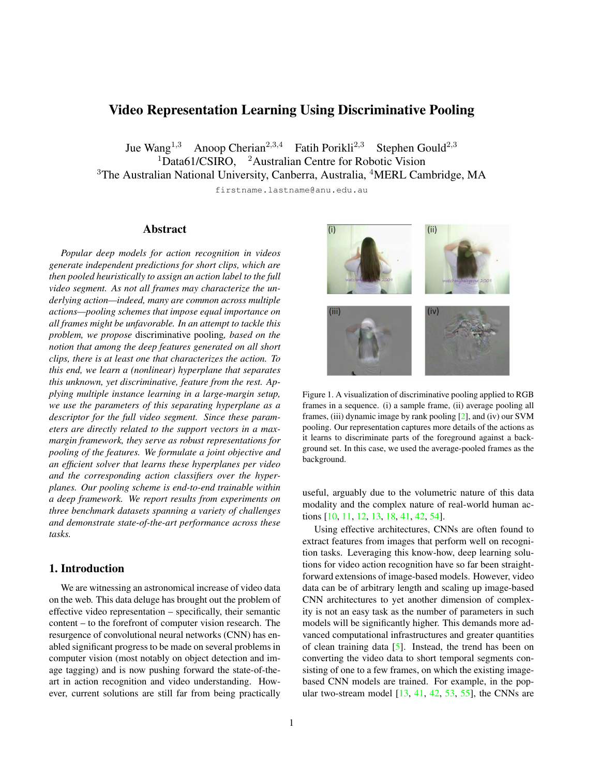# <span id="page-0-1"></span>Video Representation Learning Using Discriminative Pooling

Jue Wang<sup>1,3</sup> Anoop Cherian<sup>2,3,4</sup> Fatih Porikli<sup>2,3</sup> Stephen Gould<sup>2,3</sup>  $1$ Data61/CSIRO,  $2$ Australian Centre for Robotic Vision <sup>3</sup>The Australian National University, Canberra, Australia, <sup>4</sup>MERL Cambridge, MA

firstname.lastname@anu.edu.au

### Abstract

*Popular deep models for action recognition in videos generate independent predictions for short clips, which are then pooled heuristically to assign an action label to the full video segment. As not all frames may characterize the underlying action—indeed, many are common across multiple actions—pooling schemes that impose equal importance on all frames might be unfavorable. In an attempt to tackle this problem, we propose* discriminative pooling*, based on the notion that among the deep features generated on all short clips, there is at least one that characterizes the action. To this end, we learn a (nonlinear) hyperplane that separates this unknown, yet discriminative, feature from the rest. Applying multiple instance learning in a large-margin setup, we use the parameters of this separating hyperplane as a descriptor for the full video segment. Since these parameters are directly related to the support vectors in a maxmargin framework, they serve as robust representations for pooling of the features. We formulate a joint objective and an efficient solver that learns these hyperplanes per video and the corresponding action classifiers over the hyperplanes. Our pooling scheme is end-to-end trainable within a deep framework. We report results from experiments on three benchmark datasets spanning a variety of challenges and demonstrate state-of-the-art performance across these tasks.*

# 1. Introduction

We are witnessing an astronomical increase of video data on the web. This data deluge has brought out the problem of effective video representation – specifically, their semantic content – to the forefront of computer vision research. The resurgence of convolutional neural networks (CNN) has enabled significant progress to be made on several problems in computer vision (most notably on object detection and image tagging) and is now pushing forward the state-of-theart in action recognition and video understanding. However, current solutions are still far from being practically



Figure 1. A visualization of discriminative pooling applied to RGB frames in a sequence. (i) a sample frame, (ii) average pooling all frames, (iii) dynamic image by rank pooling [\[2\]](#page-8-0), and (iv) our SVM pooling. Our representation captures more details of the actions as it learns to discriminate parts of the foreground against a background set. In this case, we used the average-pooled frames as the background.

<span id="page-0-0"></span>useful, arguably due to the volumetric nature of this data modality and the complex nature of real-world human actions [\[10,](#page-8-1) [11,](#page-8-2) [12,](#page-8-3) [13,](#page-8-4) [18,](#page-8-5) [41,](#page-9-0) [42,](#page-9-1) [54\]](#page-9-2).

Using effective architectures, CNNs are often found to extract features from images that perform well on recognition tasks. Leveraging this know-how, deep learning solutions for video action recognition have so far been straightforward extensions of image-based models. However, video data can be of arbitrary length and scaling up image-based CNN architectures to yet another dimension of complexity is not an easy task as the number of parameters in such models will be significantly higher. This demands more advanced computational infrastructures and greater quantities of clean training data [\[5\]](#page-8-6). Instead, the trend has been on converting the video data to short temporal segments consisting of one to a few frames, on which the existing imagebased CNN models are trained. For example, in the popular two-stream model  $[13, 41, 42, 53, 55]$  $[13, 41, 42, 53, 55]$  $[13, 41, 42, 53, 55]$  $[13, 41, 42, 53, 55]$  $[13, 41, 42, 53, 55]$  $[13, 41, 42, 53, 55]$  $[13, 41, 42, 53, 55]$  $[13, 41, 42, 53, 55]$  $[13, 41, 42, 53, 55]$ , the CNNs are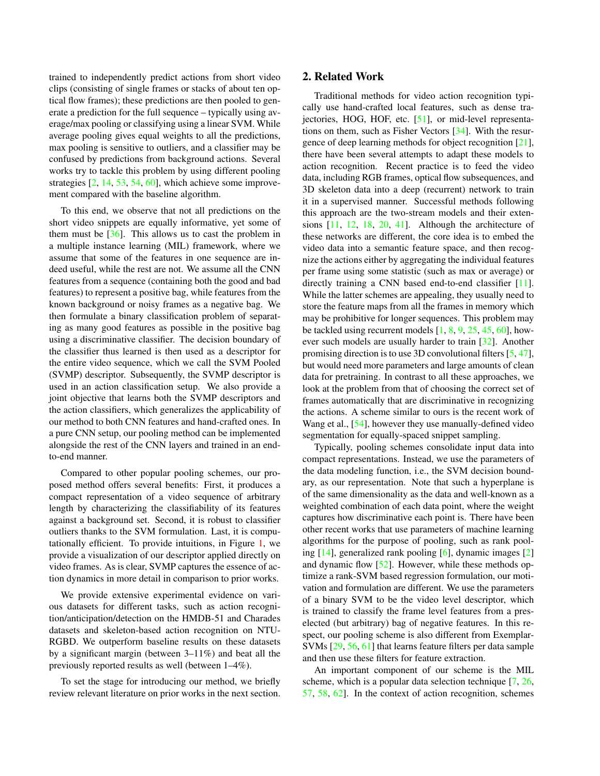<span id="page-1-0"></span>trained to independently predict actions from short video clips (consisting of single frames or stacks of about ten optical flow frames); these predictions are then pooled to generate a prediction for the full sequence – typically using average/max pooling or classifying using a linear SVM. While average pooling gives equal weights to all the predictions, max pooling is sensitive to outliers, and a classifier may be confused by predictions from background actions. Several works try to tackle this problem by using different pooling strategies [\[2,](#page-8-0) [14,](#page-8-7) [53,](#page-9-3) [54,](#page-9-2) [60\]](#page-9-5), which achieve some improvement compared with the baseline algorithm.

To this end, we observe that not all predictions on the short video snippets are equally informative, yet some of them must be  $[36]$ . This allows us to cast the problem in a multiple instance learning (MIL) framework, where we assume that some of the features in one sequence are indeed useful, while the rest are not. We assume all the CNN features from a sequence (containing both the good and bad features) to represent a positive bag, while features from the known background or noisy frames as a negative bag. We then formulate a binary classification problem of separating as many good features as possible in the positive bag using a discriminative classifier. The decision boundary of the classifier thus learned is then used as a descriptor for the entire video sequence, which we call the SVM Pooled (SVMP) descriptor. Subsequently, the SVMP descriptor is used in an action classification setup. We also provide a joint objective that learns both the SVMP descriptors and the action classifiers, which generalizes the applicability of our method to both CNN features and hand-crafted ones. In a pure CNN setup, our pooling method can be implemented alongside the rest of the CNN layers and trained in an endto-end manner.

Compared to other popular pooling schemes, our proposed method offers several benefits: First, it produces a compact representation of a video sequence of arbitrary length by characterizing the classifiability of its features against a background set. Second, it is robust to classifier outliers thanks to the SVM formulation. Last, it is computationally efficient. To provide intuitions, in Figure [1,](#page-0-0) we provide a visualization of our descriptor applied directly on video frames. As is clear, SVMP captures the essence of action dynamics in more detail in comparison to prior works.

We provide extensive experimental evidence on various datasets for different tasks, such as action recognition/anticipation/detection on the HMDB-51 and Charades datasets and skeleton-based action recognition on NTU-RGBD. We outperform baseline results on these datasets by a significant margin (between 3–11%) and beat all the previously reported results as well (between 1–4%).

To set the stage for introducing our method, we briefly review relevant literature on prior works in the next section.

### 2. Related Work

Traditional methods for video action recognition typically use hand-crafted local features, such as dense trajectories, HOG, HOF, etc. [\[51\]](#page-9-6), or mid-level representations on them, such as Fisher Vectors [\[34\]](#page-8-9). With the resurgence of deep learning methods for object recognition [\[21\]](#page-8-10), there have been several attempts to adapt these models to action recognition. Recent practice is to feed the video data, including RGB frames, optical flow subsequences, and 3D skeleton data into a deep (recurrent) network to train it in a supervised manner. Successful methods following this approach are the two-stream models and their extensions [\[11,](#page-8-2) [12,](#page-8-3) [18,](#page-8-5) [20,](#page-8-11) [41\]](#page-9-0). Although the architecture of these networks are different, the core idea is to embed the video data into a semantic feature space, and then recognize the actions either by aggregating the individual features per frame using some statistic (such as max or average) or directly training a CNN based end-to-end classifier [\[11\]](#page-8-2). While the latter schemes are appealing, they usually need to store the feature maps from all the frames in memory which may be prohibitive for longer sequences. This problem may be tackled using recurrent models  $[1, 8, 9, 25, 45, 60]$  $[1, 8, 9, 25, 45, 60]$  $[1, 8, 9, 25, 45, 60]$  $[1, 8, 9, 25, 45, 60]$  $[1, 8, 9, 25, 45, 60]$  $[1, 8, 9, 25, 45, 60]$  $[1, 8, 9, 25, 45, 60]$  $[1, 8, 9, 25, 45, 60]$  $[1, 8, 9, 25, 45, 60]$  $[1, 8, 9, 25, 45, 60]$  $[1, 8, 9, 25, 45, 60]$ , however such models are usually harder to train [\[32\]](#page-8-16). Another promising direction is to use 3D convolutional filters [\[5,](#page-8-6) [47\]](#page-9-8), but would need more parameters and large amounts of clean data for pretraining. In contrast to all these approaches, we look at the problem from that of choosing the correct set of frames automatically that are discriminative in recognizing the actions. A scheme similar to ours is the recent work of Wang et al., [\[54\]](#page-9-2), however they use manually-defined video segmentation for equally-spaced snippet sampling.

Typically, pooling schemes consolidate input data into compact representations. Instead, we use the parameters of the data modeling function, i.e., the SVM decision boundary, as our representation. Note that such a hyperplane is of the same dimensionality as the data and well-known as a weighted combination of each data point, where the weight captures how discriminative each point is. There have been other recent works that use parameters of machine learning algorithms for the purpose of pooling, such as rank pooling  $[14]$ , generalized rank pooling  $[6]$ , dynamic images  $[2]$ and dynamic flow [\[52\]](#page-9-9). However, while these methods optimize a rank-SVM based regression formulation, our motivation and formulation are different. We use the parameters of a binary SVM to be the video level descriptor, which is trained to classify the frame level features from a preselected (but arbitrary) bag of negative features. In this respect, our pooling scheme is also different from Exemplar-SVMs [\[29,](#page-8-18) [56,](#page-9-10) [61\]](#page-9-11) that learns feature filters per data sample and then use these filters for feature extraction.

An important component of our scheme is the MIL scheme, which is a popular data selection technique [\[7,](#page-8-19) [26,](#page-8-20) [57,](#page-9-12) [58,](#page-9-13) [62\]](#page-9-14). In the context of action recognition, schemes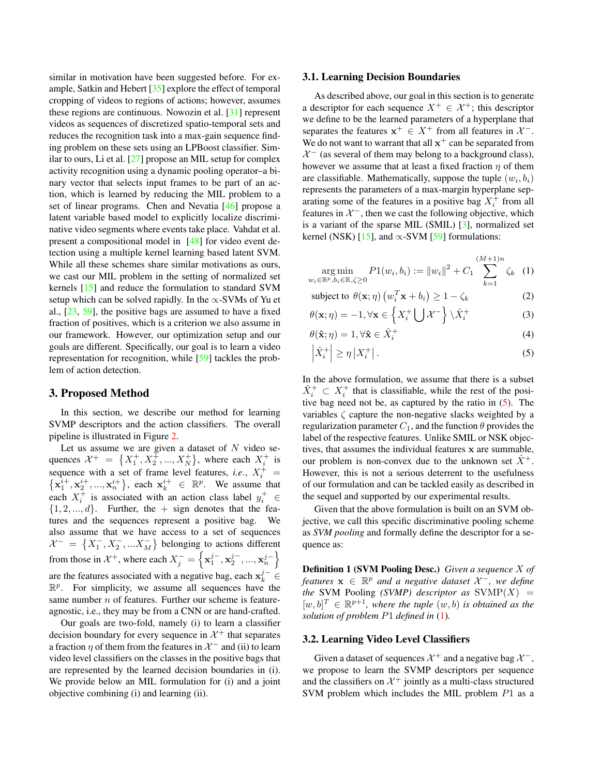<span id="page-2-4"></span>similar in motivation have been suggested before. For example, Satkin and Hebert [\[35\]](#page-8-21) explore the effect of temporal cropping of videos to regions of actions; however, assumes these regions are continuous. Nowozin et al. [\[31\]](#page-8-22) represent videos as sequences of discretized spatio-temporal sets and reduces the recognition task into a max-gain sequence finding problem on these sets using an LPBoost classifier. Similar to ours, Li et al.  $[27]$  propose an MIL setup for complex activity recognition using a dynamic pooling operator–a binary vector that selects input frames to be part of an action, which is learned by reducing the MIL problem to a set of linear programs. Chen and Nevatia [\[46\]](#page-9-15) propose a latent variable based model to explicitly localize discriminative video segments where events take place. Vahdat et al. present a compositional model in [\[48\]](#page-9-16) for video event detection using a multiple kernel learning based latent SVM. While all these schemes share similar motivations as ours, we cast our MIL problem in the setting of normalized set kernels [\[15\]](#page-8-24) and reduce the formulation to standard SVM setup which can be solved rapidly. In the  $\propto$ -SVMs of Yu et al., [\[23,](#page-8-25) [59\]](#page-9-17), the positive bags are assumed to have a fixed fraction of positives, which is a criterion we also assume in our framework. However, our optimization setup and our goals are different. Specifically, our goal is to learn a video representation for recognition, while [\[59\]](#page-9-17) tackles the problem of action detection.

# 3. Proposed Method

In this section, we describe our method for learning SVMP descriptors and the action classifiers. The overall pipeline is illustrated in Figure [2.](#page-3-0)

Let us assume we are given a dataset of  $N$  video sequences  $\mathcal{X}^{+} = \{X_{1}^{+}, X_{2}^{+}, ..., X_{N}^{+}\},\$  where each  $X_{i}^{+}$  is sequence with a set of frame level features, *i.e.*,  $X_i^+$ sequence with a set of frame level features, *i.e.*,  $X_i^+ = \{ \mathbf{x}_1^{i+}, \mathbf{x}_2^{i+}, ..., \mathbf{x}_n^{i+} \}$ , each  $\mathbf{x}_k^{i+} \in \mathbb{R}^p$ . We assume that each  $X_i^+$  is associated with an action class label  $y_i^+ \in$  $\{1, 2, ..., d\}$ . Further, the + sign denotes that the features and the sequences represent a positive bag. We also assume that we have access to a set of sequences  $\mathcal{X}^- = \{X_1^-, X_2^-, ... X_M^-\}$  belonging to actions different from those in  $\mathcal{X}^+$ , where each  $X_j^- = \left\{ \mathbf{x}_1^{j-}, \mathbf{x}_2^{j-}, ..., \mathbf{x}_n^{j-} \right\}$ are the features associated with a negative bag, each  $x_k^{j-} \in$  $\mathbb{R}^p$ . For simplicity, we assume all sequences have the same number  $n$  of features. Further our scheme is featureagnostic, i.e., they may be from a CNN or are hand-crafted.

Our goals are two-fold, namely (i) to learn a classifier decision boundary for every sequence in  $\mathcal{X}^+$  that separates a fraction  $\eta$  of them from the features in  $\mathcal{X}^-$  and (ii) to learn video level classifiers on the classes in the positive bags that are represented by the learned decision boundaries in (i). We provide below an MIL formulation for (i) and a joint objective combining (i) and learning (ii).

#### 3.1. Learning Decision Boundaries

As described above, our goal in this section is to generate a descriptor for each sequence  $X^+ \in \mathcal{X}^+$ ; this descriptor we define to be the learned parameters of a hyperplane that separates the features  $x^+ \in X^+$  from all features in  $\mathcal{X}^-$ . We do not want to warrant that all  $x^+$  can be separated from  $X^-$  (as several of them may belong to a background class), however we assume that at least a fixed fraction  $\eta$  of them are classifiable. Mathematically, suppose the tuple  $(w_i, b_i)$ represents the parameters of a max-margin hyperplane separating some of the features in a positive bag  $X_i^{\dagger}$  from all features in  $\mathcal{X}^-$ , then we cast the following objective, which is a variant of the sparse MIL (SMIL) [\[3\]](#page-8-26), normalized set kernel (NSK) [\[15\]](#page-8-24), and  $\propto$ -SVM [\[59\]](#page-9-17) formulations:

<span id="page-2-1"></span>
$$
\underset{w_i \in \mathbb{R}^p, b_i \in \mathbb{R}, \zeta \ge 0}{\arg \min} P1(w_i, b_i) := ||w_i||^2 + C_1 \sum_{k=1}^{(M+1)n} \zeta_k \quad (1)
$$

<span id="page-2-2"></span>subject to 
$$
\theta(\mathbf{x};\eta) (w_i^T \mathbf{x} + b_i) \ge 1 - \zeta_k
$$
 (2)

$$
\theta(\mathbf{x};\eta) = -1, \forall \mathbf{x} \in \left\{ X_i^+ \bigcup \mathcal{X}^- \right\} \setminus \hat{X}_i^+ \tag{3}
$$

$$
\theta(\hat{\mathbf{x}};\eta) = 1, \forall \hat{\mathbf{x}} \in \hat{X}_i^+ \tag{4}
$$

<span id="page-2-3"></span><span id="page-2-0"></span>
$$
\left|\hat{X}_i^+\right| \ge \eta \left|X_i^+\right|.\tag{5}
$$

In the above formulation, we assume that there is a subset  $\hat{X}_i^+ \subset X_i^+$  that is classifiable, while the rest of the positive bag need not be, as captured by the ratio in [\(5\)](#page-2-0). The variables  $\zeta$  capture the non-negative slacks weighted by a regularization parameter  $C_1$ , and the function  $\theta$  provides the label of the respective features. Unlike SMIL or NSK objectives, that assumes the individual features x are summable, our problem is non-convex due to the unknown set  $\ddot{X}^+$ . However, this is not a serious deterrent to the usefulness of our formulation and can be tackled easily as described in the sequel and supported by our experimental results.

Given that the above formulation is built on an SVM objective, we call this specific discriminative pooling scheme as *SVM pooling* and formally define the descriptor for a sequence as:

Definition 1 (SVM Pooling Desc.) *Given a sequence* X *of features*  $\mathbf{x}$  ∈  $\mathbb{R}^p$  *and a negative dataset*  $\mathcal{X}^-$ , we define *the* SVM Pooling *(SVMP) descriptor as*  $\text{SWMP}(X)$  =  $[w, b]^T \in \mathbb{R}^{p+1}$ , where the tuple  $(w, b)$  is obtained as the *solution of problem* P1 *defined in* [\(1\)](#page-2-1)*.*

#### 3.2. Learning Video Level Classifiers

Given a dataset of sequences  $\mathcal{X}^+$  and a negative bag  $\mathcal{X}^-$ , we propose to learn the SVMP descriptors per sequence and the classifiers on  $\mathcal{X}^+$  jointly as a multi-class structured SVM problem which includes the MIL problem P1 as a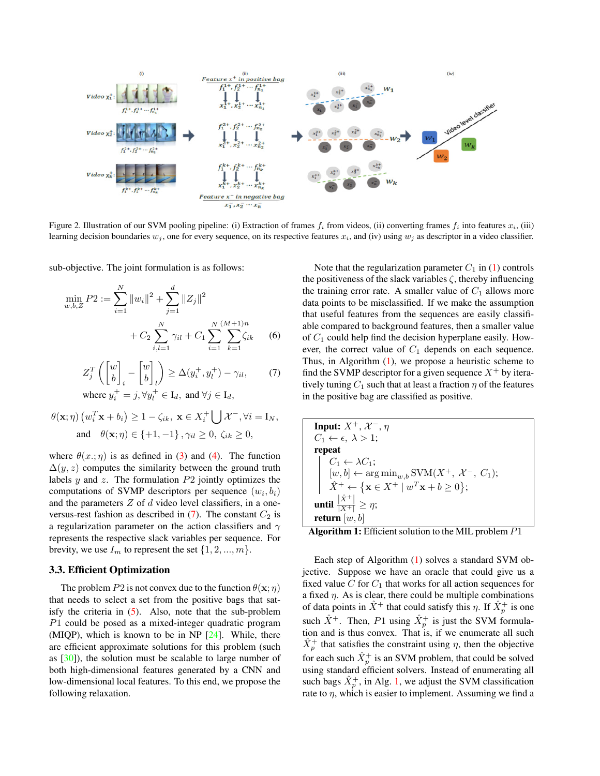<span id="page-3-3"></span>

<span id="page-3-0"></span>Figure 2. Illustration of our SVM pooling pipeline: (i) Extraction of frames  $f_i$  from videos, (ii) converting frames  $f_i$  into features  $x_i$ , (iii) learning decision boundaries  $w_j$ , one for every sequence, on its respective features  $x_i$ , and (iv) using  $w_j$  as descriptor in a video classifier.

sub-objective. The joint formulation is as follows:

 $\boldsymbol{u}$ 

$$
\min_{w,b,Z} P2 := \sum_{i=1}^{N} \|w_i\|^2 + \sum_{j=1}^{d} \|Z_j\|^2
$$
  
+  $C_2 \sum_{i,l=1}^{N} \gamma_{il} + C_1 \sum_{i=1}^{N} \sum_{k=1}^{(M+1)n} \zeta_{ik}$  (6)

$$
Z_j^T \left( \begin{bmatrix} w \\ b \end{bmatrix}_i - \begin{bmatrix} w \\ b \end{bmatrix}_l \right) \ge \Delta(y_i^+, y_l^+) - \gamma_{il}, \qquad (7)
$$
  
where  $y_i^+ = j, \forall y_l^+ \in I_d$ , and  $\forall j \in I_d$ ,

$$
\theta(\mathbf{x};\eta) (w_i^T \mathbf{x} + b_i) \ge 1 - \zeta_{ik}, \mathbf{x} \in X_i^+ \bigcup \mathcal{X}^-, \forall i = I_N,
$$
  
and  $\theta(\mathbf{x}; \eta) \in \{+1, -1\}, \gamma_{il} \ge 0, \zeta_{ik} \ge 0,$ 

where  $\theta(x;\eta)$  is as defined in [\(3\)](#page-2-2) and [\(4\)](#page-2-3). The function  $\Delta(y, z)$  computes the similarity between the ground truth labels  $y$  and  $z$ . The formulation  $P2$  jointly optimizes the computations of SVMP descriptors per sequence  $(w_i, b_i)$ and the parameters  $Z$  of  $d$  video level classifiers, in a oneversus-rest fashion as described in  $(7)$ . The constant  $C_2$  is a regularization parameter on the action classifiers and  $\gamma$ represents the respective slack variables per sequence. For brevity, we use  $I_m$  to represent the set  $\{1, 2, ..., m\}$ .

### 3.3. Efficient Optimization

The problem P2 is not convex due to the function  $\theta(\mathbf{x}; \eta)$ that needs to select a set from the positive bags that satisfy the criteria in  $(5)$ . Also, note that the sub-problem P1 could be posed as a mixed-integer quadratic program (MIQP), which is known to be in NP  $[24]$ . While, there are efficient approximate solutions for this problem (such as [\[30\]](#page-8-28)), the solution must be scalable to large number of both high-dimensional features generated by a CNN and low-dimensional local features. To this end, we propose the following relaxation.

Note that the regularization parameter  $C_1$  in [\(1\)](#page-2-1) controls the positiveness of the slack variables  $\zeta$ , thereby influencing the training error rate. A smaller value of  $C_1$  allows more data points to be misclassified. If we make the assumption that useful features from the sequences are easily classifiable compared to background features, then a smaller value of  $C_1$  could help find the decision hyperplane easily. However, the correct value of  $C_1$  depends on each sequence. Thus, in Algorithm  $(1)$ , we propose a heuristic scheme to find the SVMP descriptor for a given sequence  $X^+$  by iteratively tuning  $C_1$  such that at least a fraction  $\eta$  of the features in the positive bag are classified as positive.

<span id="page-3-1"></span>

| <b>Input:</b> $X^+$ , $\mathcal{X}^-$ , $\eta$                                                                                                                                                                                                                                                  |
|-------------------------------------------------------------------------------------------------------------------------------------------------------------------------------------------------------------------------------------------------------------------------------------------------|
| $C_1 \leftarrow \epsilon, \lambda > 1;$                                                                                                                                                                                                                                                         |
| repeat                                                                                                                                                                                                                                                                                          |
|                                                                                                                                                                                                                                                                                                 |
|                                                                                                                                                                                                                                                                                                 |
| $\begin{array}{l} \left[ \begin{array}{l} C_1 \leftarrow \lambda C_1; \\ [w,b] \leftarrow \arg \min_{w,b} \text{SVM}(X^+, \mathcal{X}^-, C_1); \\ \hat{X}^+ \leftarrow \left\{ \mathbf{x} \in X^+ \mid w^T \mathbf{x} + b \geq 0 \right\}; \end{array} \right. \end{array} \right. \end{array}$ |
| until $\frac{ \hat{X}^+ }{ X^+ } \geq \eta;$                                                                                                                                                                                                                                                    |
| return $[w, b]$                                                                                                                                                                                                                                                                                 |

<span id="page-3-2"></span>

Each step of Algorithm [\(1\)](#page-3-2) solves a standard SVM objective. Suppose we have an oracle that could give us a fixed value  $C$  for  $C_1$  that works for all action sequences for a fixed  $\eta$ . As is clear, there could be multiple combinations of data points in  $\hat{X}^+$  that could satisfy this  $\eta$ . If  $\hat{X}^+_p$  is one such  $\hat{X}^+$ . Then, P1 using  $\hat{X}^+_p$  is just the SVM formulation and is thus convex. That is, if we enumerate all such  $\hat{X}^+_{p}$  that satisfies the constraint using  $\eta$ , then the objective for each such  $\hat{X}_{p}^{+}$  is an SVM problem, that could be solved using standard efficient solvers. Instead of enumerating all such bags  $\hat{X}_p^+$ , in Alg. [1,](#page-3-2) we adjust the SVM classification rate to  $\eta$ , which is easier to implement. Assuming we find a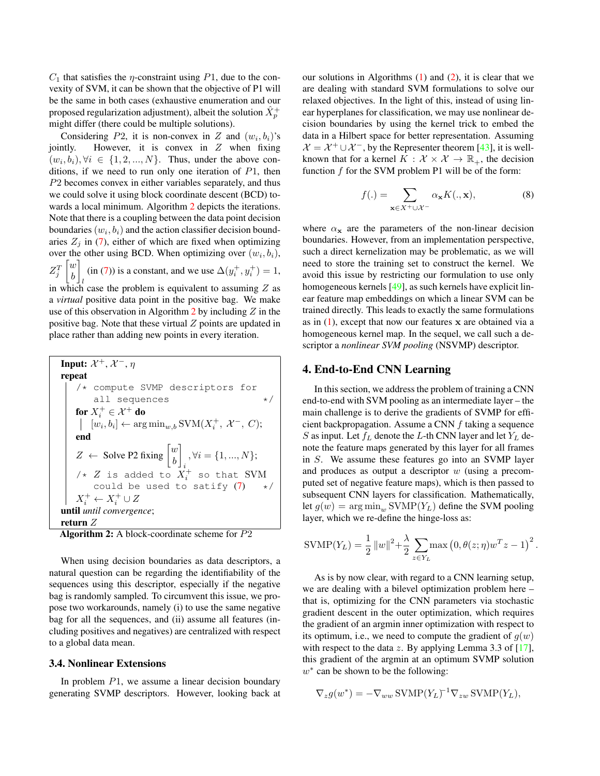<span id="page-4-1"></span> $C_1$  that satisfies the  $\eta$ -constraint using P1, due to the convexity of SVM, it can be shown that the objective of P1 will be the same in both cases (exhaustive enumeration and our proposed regularization adjustment), albeit the solution  $\hat{X}^{+}_p$ might differ (there could be multiple solutions).

Considering P2, it is non-convex in Z and  $(w_i, b_i)$ 's jointly. However, it is convex in  $Z$  when fixing  $(w_i, b_i), \forall i \in \{1, 2, ..., N\}.$  Thus, under the above conditions, if we need to run only one iteration of  $P1$ , then P2 becomes convex in either variables separately, and thus we could solve it using block coordinate descent (BCD) to-wards a local minimum. Algorithm [2](#page-4-0) depicts the iterations. Note that there is a coupling between the data point decision boundaries  $(w_i, b_i)$  and the action classifier decision boundaries  $Z_j$  in [\(7\)](#page-3-1), either of which are fixed when optimizing over the other using BCD. When optimizing over  $(w_i, b_i)$ ,  $Z_j^T$  $\lceil w \rceil$ b 1 l (in [\(7\)](#page-3-1)) is a constant, and we use  $\Delta(y_i^+, y_i^+) = 1$ , in which case the problem is equivalent to assuming  $Z$  as a *virtual* positive data point in the positive bag. We make use of this observation in Algorithm [2](#page-4-0) by including  $Z$  in the positive bag. Note that these virtual  $Z$  points are updated in place rather than adding new points in every iteration.

Input:  $\mathcal{X}^+$ ,  $\mathcal{X}^-$ ,  $\eta$ repeat /\* compute SVMP descriptors for all sequences  $\star/$ for  $X_i^+ \in \mathcal{X}^+$  do  $[w_i, b_i] \leftarrow \arg \min_{w, b} \text{SVM}(X_i^+, \mathcal{X}^-, C);$ end  $Z \leftarrow \text{Solve P2 fixing } \begin{bmatrix} w \\ v \end{bmatrix}$ b 1 i  $, \forall i = \{1, ..., N\};$ /\*  $Z$  is added to  $X_i^+$  so that  $\text{SVM}$ could be used to satify  $(7)$  \*/  $X_i^+ \leftarrow X_i^+ \cup Z$ until *until convergence*; return Z

<span id="page-4-0"></span>

When using decision boundaries as data descriptors, a natural question can be regarding the identifiability of the sequences using this descriptor, especially if the negative bag is randomly sampled. To circumvent this issue, we propose two workarounds, namely (i) to use the same negative bag for all the sequences, and (ii) assume all features (including positives and negatives) are centralized with respect to a global data mean.

#### 3.4. Nonlinear Extensions

In problem  $P1$ , we assume a linear decision boundary generating SVMP descriptors. However, looking back at our solutions in Algorithms  $(1)$  and  $(2)$ , it is clear that we are dealing with standard SVM formulations to solve our relaxed objectives. In the light of this, instead of using linear hyperplanes for classification, we may use nonlinear decision boundaries by using the kernel trick to embed the data in a Hilbert space for better representation. Assuming  $\mathcal{X} = \mathcal{X}^+ \cup \mathcal{X}^-$ , by the Representer theorem [\[43\]](#page-9-18), it is wellknown that for a kernel  $K : \mathcal{X} \times \mathcal{X} \to \mathbb{R}_+$ , the decision function  $f$  for the SVM problem P1 will be of the form:

$$
f(.) = \sum_{\mathbf{x} \in X^+ \cup \mathcal{X}^-} \alpha_{\mathbf{x}} K(., \mathbf{x}),
$$
 (8)

where  $\alpha_x$  are the parameters of the non-linear decision boundaries. However, from an implementation perspective, such a direct kernelization may be problematic, as we will need to store the training set to construct the kernel. We avoid this issue by restricting our formulation to use only homogeneous kernels [\[49\]](#page-9-19), as such kernels have explicit linear feature map embeddings on which a linear SVM can be trained directly. This leads to exactly the same formulations as in  $(1)$ , except that now our features x are obtained via a homogeneous kernel map. In the sequel, we call such a descriptor a *nonlinear SVM pooling* (NSVMP) descriptor.

#### 4. End-to-End CNN Learning

In this section, we address the problem of training a CNN end-to-end with SVM pooling as an intermediate layer – the main challenge is to derive the gradients of SVMP for efficient backpropagation. Assume a CNN  $f$  taking a sequence S as input. Let  $f_L$  denote the L-th CNN layer and let  $Y_L$  denote the feature maps generated by this layer for all frames in S. We assume these features go into an SVMP layer and produces as output a descriptor  $w$  (using a precomputed set of negative feature maps), which is then passed to subsequent CNN layers for classification. Mathematically, let  $g(w) = \arg \min_{w} \text{SVMP}(Y_L)$  define the SVM pooling layer, which we re-define the hinge-loss as:

$$
SVMP(Y_L) = \frac{1}{2} ||w||^2 + \frac{\lambda}{2} \sum_{z \in Y_L} \max (0, \theta(z; \eta) w^T z - 1)^2.
$$

As is by now clear, with regard to a CNN learning setup, we are dealing with a bilevel optimization problem here – that is, optimizing for the CNN parameters via stochastic gradient descent in the outer optimization, which requires the gradient of an argmin inner optimization with respect to its optimum, i.e., we need to compute the gradient of  $q(w)$ with respect to the data z. By applying Lemma 3.3 of  $[17]$ , this gradient of the argmin at an optimum SVMP solution  $w^*$  can be shown to be the following:

$$
\nabla_z g(w^*) = -\nabla_{ww} \text{SVMP}(Y_L)^{-1} \nabla_{zw} \text{SVMP}(Y_L),
$$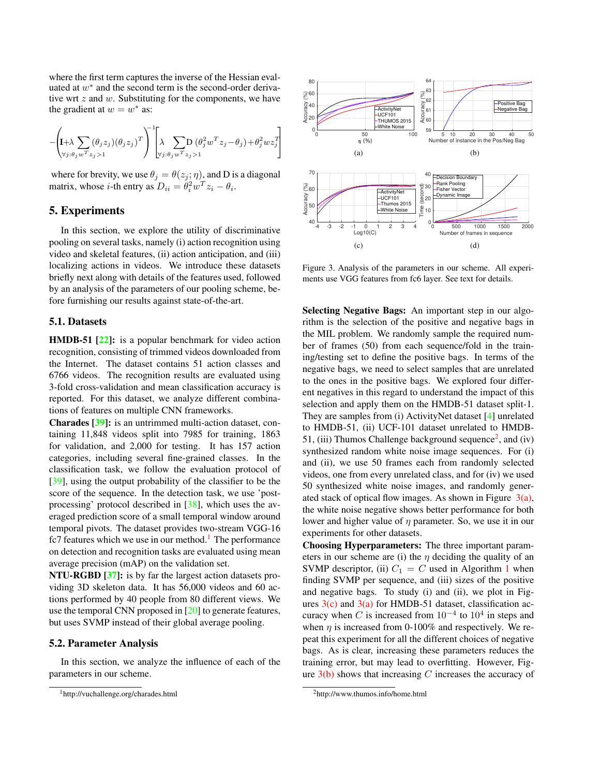<span id="page-5-7"></span>where the first term captures the inverse of the Hessian evaluated at  $w^*$  and the second term is the second-order derivative wrt  $z$  and  $w$ . Substituting for the components, we have the gradient at  $w = w^*$  as:

− I+<sup>λ</sup> X ∀j:θjw<sup>T</sup> zj>1 (θ<sup>j</sup> z<sup>j</sup> )(θ<sup>j</sup> z<sup>j</sup> ) T <sup>−</sup><sup>1</sup> λ X ∀j:θjw<sup>T</sup> zj>1 D (θ 2 <sup>j</sup> w T zj−θ<sup>j</sup> )+θ 2 <sup>j</sup> wz T j 

where for brevity, we use  $\theta_i = \theta(z_i; \eta)$ , and D is a diagonal matrix, whose *i*-th entry as  $D_{ii} = \theta_i^2 w^T z_i - \theta_i$ .

# 5. Experiments

In this section, we explore the utility of discriminative pooling on several tasks, namely (i) action recognition using video and skeletal features, (ii) action anticipation, and (iii) localizing actions in videos. We introduce these datasets briefly next along with details of the features used, followed by an analysis of the parameters of our pooling scheme, before furnishing our results against state-of-the-art.

# <span id="page-5-6"></span>5.1. Datasets

HMDB-51 [\[22\]](#page-8-30): is a popular benchmark for video action recognition, consisting of trimmed videos downloaded from the Internet. The dataset contains 51 action classes and 6766 videos. The recognition results are evaluated using 3-fold cross-validation and mean classification accuracy is reported. For this dataset, we analyze different combinations of features on multiple CNN frameworks.

Charades [\[39\]](#page-8-31): is an untrimmed multi-action dataset, containing 11,848 videos split into 7985 for training, 1863 for validation, and 2,000 for testing. It has 157 action categories, including several fine-grained classes. In the classification task, we follow the evaluation protocol of [\[39\]](#page-8-31), using the output probability of the classifier to be the score of the sequence. In the detection task, we use 'postprocessing' protocol described in [\[38\]](#page-8-32), which uses the averaged prediction score of a small temporal window around temporal pivots. The dataset provides two-stream VGG-16 fc7 features which we use in our method.<sup>[1](#page-5-0)</sup> The performance on detection and recognition tasks are evaluated using mean average precision (mAP) on the validation set.

NTU-RGBD [\[37\]](#page-8-33): is by far the largest action datasets providing 3D skeleton data. It has 56,000 videos and 60 actions performed by 40 people from 80 different views. We use the temporal CNN proposed in [\[20\]](#page-8-11) to generate features, but uses SVMP instead of their global average pooling.

### 5.2. Parameter Analysis

In this section, we analyze the influence of each of the parameters in our scheme.

<span id="page-5-4"></span><span id="page-5-2"></span>

<span id="page-5-5"></span><span id="page-5-3"></span>Figure 3. Analysis of the parameters in our scheme. All experiments use VGG features from fc6 layer. See text for details.

e with smallenge  $\int_{0}^{\infty}$  ( $\int_{0}^{\infty}$   $\int_{0}^{\infty}$   $\int_{0}^{\infty}$   $\int_{0}^{\infty}$   $\int_{0}^{\infty}$   $\int_{0}^{\infty}$   $\int_{0}^{\infty}$   $\int_{0}^{\infty}$   $\int_{0}^{\infty}$   $\int_{0}^{\infty}$   $\int_{0}^{\infty}$   $\int_{0}^{\infty}$   $\int_{0}^{\infty}$   $\int_{0}^{\infty}$   $\int_{0}^{\$ Selecting Negative Bags: An important step in our algorithm is the selection of the positive and negative bags in the MIL problem. We randomly sample the required number of frames (50) from each sequence/fold in the training/testing set to define the positive bags. In terms of the negative bags, we need to select samples that are unrelated to the ones in the positive bags. We explored four different negatives in this regard to understand the impact of this selection and apply them on the HMDB-51 dataset split-1. They are samples from (i) ActivityNet dataset [\[4\]](#page-8-34) unrelated to HMDB-51, (ii) UCF-101 dataset unrelated to HMDB-51, (iii) Thumos Challenge background sequence<sup>[2](#page-5-1)</sup>, and (iv) synthesized random white noise image sequences. For (i) and (ii), we use 50 frames each from randomly selected videos, one from every unrelated class, and for (iv) we used 50 synthesized white noise images, and randomly generated stack of optical flow images. As shown in Figure  $3(a)$ , the white noise negative shows better performance for both lower and higher value of  $\eta$  parameter. So, we use it in our experiments for other datasets.

Choosing Hyperparameters: The three important parameters in our scheme are (i) the  $\eta$  deciding the quality of an SVMP descriptor, (ii)  $C_1 = C$  $C_1 = C$  $C_1 = C$  used in Algorithm 1 when finding SVMP per sequence, and (iii) sizes of the positive and negative bags. To study (i) and (ii), we plot in Figures  $3(c)$  and  $3(a)$  for HMDB-51 dataset, classification accuracy when C is increased from  $10^{-4}$  to  $10^{4}$  in steps and when  $\eta$  is increased from 0-100% and respectively. We repeat this experiment for all the different choices of negative bags. As is clear, increasing these parameters reduces the training error, but may lead to overfitting. However, Figure  $3(b)$  shows that increasing C increases the accuracy of

<span id="page-5-0"></span>

<span id="page-5-1"></span><sup>2</sup>http://www.thumos.info/home.html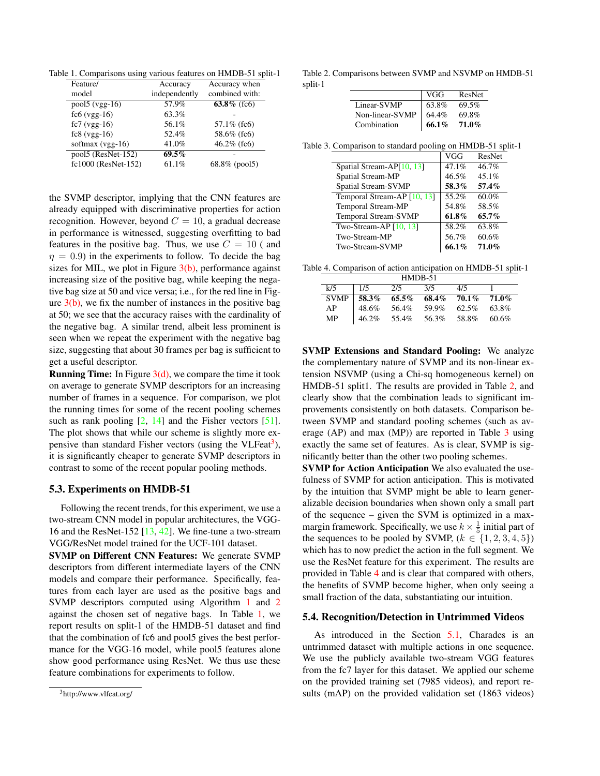<span id="page-6-5"></span>Table 1. Comparisons using various features on HMDB-51 split-1

<span id="page-6-1"></span>

| Feature/             | Accuracy      | Accuracy when    |
|----------------------|---------------|------------------|
| model                | independently | combined with:   |
| $pool5 (vgg-16)$     | 57.9%         | 63.8% (fc6)      |
| $fc6$ (vgg-16)       | 63.3%         |                  |
| $fc7$ (vgg-16)       | 56.1%         | $57.1\%$ (fc6)   |
| $fc8$ (vgg-16)       | 52.4%         | 58.6% (fc6)      |
| softmax ( $vgg-16$ ) | 41.0%         | $46.2\%$ (fc6)   |
| pool5 (ResNet-152)   | 69.5%         |                  |
| fc1000 (ResNet-152)  | 61.1%         | $68.8\%$ (pool5) |

the SVMP descriptor, implying that the CNN features are already equipped with discriminative properties for action recognition. However, beyond  $C = 10$ , a gradual decrease in performance is witnessed, suggesting overfitting to bad features in the positive bag. Thus, we use  $C = 10$  (and  $\eta = 0.9$ ) in the experiments to follow. To decide the bag sizes for MIL, we plot in Figure  $3(b)$ , performance against increasing size of the positive bag, while keeping the negative bag size at 50 and vice versa; i.e., for the red line in Figure  $3(b)$ , we fix the number of instances in the positive bag at 50; we see that the accuracy raises with the cardinality of the negative bag. A similar trend, albeit less prominent is seen when we repeat the experiment with the negative bag size, suggesting that about 30 frames per bag is sufficient to get a useful descriptor.

**Running Time:** In Figure  $3(d)$ , we compare the time it took on average to generate SVMP descriptors for an increasing number of frames in a sequence. For comparison, we plot the running times for some of the recent pooling schemes such as rank pooling  $[2, 14]$  $[2, 14]$  $[2, 14]$  and the Fisher vectors  $[51]$ . The plot shows that while our scheme is slightly more ex-pensive than standard Fisher vectors (using the VLFeat<sup>[3](#page-6-0)</sup>), it is significantly cheaper to generate SVMP descriptors in contrast to some of the recent popular pooling methods.

#### 5.3. Experiments on HMDB-51

Following the recent trends, for this experiment, we use a two-stream CNN model in popular architectures, the VGG-16 and the ResNet-152 [\[13,](#page-8-4) [42\]](#page-9-1). We fine-tune a two-stream VGG/ResNet model trained for the UCF-101 dataset.

SVMP on Different CNN Features: We generate SVMP descriptors from different intermediate layers of the CNN models and compare their performance. Specifically, features from each layer are used as the positive bags and SVMP descriptors computed using Algorithm [1](#page-3-2) and [2](#page-4-0) against the chosen set of negative bags. In Table [1,](#page-6-1) we report results on split-1 of the HMDB-51 dataset and find that the combination of fc6 and pool5 gives the best performance for the VGG-16 model, while pool5 features alone show good performance using ResNet. We thus use these feature combinations for experiments to follow.

Table 2. Comparisons between SVMP and NSVMP on HMDB-51 split-1

<span id="page-6-2"></span>

|                 | VGG   | ResNet |
|-----------------|-------|--------|
| Linear-SVMP     | 63.8% | 69.5%  |
| Non-linear-SVMP | 64.4% | 69.8%  |
| Combination     | 66.1% | 71.0%  |

Table 3. Comparison to standard pooling on HMDB-51 split-1

<span id="page-6-3"></span>

|                             | VGG   | <b>ResNet</b> |
|-----------------------------|-------|---------------|
| Spatial Stream-AP[10, 13]   | 47.1% | 46.7%         |
| Spatial Stream-MP           | 46.5% | 45.1%         |
| Spatial Stream-SVMP         | 58.3% | 57.4%         |
| Temporal Stream-AP [10, 13] | 55.2% | 60.0%         |
| Temporal Stream-MP          | 54.8% | 58.5%         |
| <b>Temporal Stream-SVMP</b> | 61.8% | $65.7\%$      |
| Two-Stream-AP $[10, 13]$    | 58.2% | 63.8%         |
| Two-Stream-MP               | 56.7% | 60.6%         |
| Two-Stream-SVMP             | 66.1% | 71.0%         |

Table 4. Comparison of action anticipation on HMDB-51 split-1

<span id="page-6-4"></span>

| $HMDB-51$ |                                                    |       |       |                   |       |
|-----------|----------------------------------------------------|-------|-------|-------------------|-------|
| k/5       | 1/5                                                | 2/5   | 3/5   | 4/5               |       |
|           | SVMP $\frac{158.3\%}{65.5\%}$ 68.4\% 70.1\% 71.0\% |       |       |                   |       |
| AP        | 48.6%                                              | 56.4% | 59.9% | $62.5\%$ $63.8\%$ |       |
| МP        | 46.2%                                              | 55.4% | 56.3% | 58.8%             | 60.6% |

SVMP Extensions and Standard Pooling: We analyze the complementary nature of SVMP and its non-linear extension NSVMP (using a Chi-sq homogeneous kernel) on HMDB-51 split1. The results are provided in Table [2,](#page-6-2) and clearly show that the combination leads to significant improvements consistently on both datasets. Comparison between SVMP and standard pooling schemes (such as average (AP) and max (MP)) are reported in Table  $3$  using exactly the same set of features. As is clear, SVMP is significantly better than the other two pooling schemes.

SVMP for Action Anticipation We also evaluated the usefulness of SVMP for action anticipation. This is motivated by the intuition that SVMP might be able to learn generalizable decision boundaries when shown only a small part of the sequence – given the SVM is optimized in a maxmargin framework. Specifically, we use  $k \times \frac{1}{5}$  initial part of the sequences to be pooled by SVMP,  $(k \in \{1, 2, 3, 4, 5\})$ which has to now predict the action in the full segment. We use the ResNet feature for this experiment. The results are provided in Table [4](#page-6-4) and is clear that compared with others, the benefits of SVMP become higher, when only seeing a small fraction of the data, substantiating our intuition.

#### 5.4. Recognition/Detection in Untrimmed Videos

As introduced in the Section [5.1,](#page-5-6) Charades is an untrimmed dataset with multiple actions in one sequence. We use the publicly available two-stream VGG features from the fc7 layer for this dataset. We applied our scheme on the provided training set (7985 videos), and report results (mAP) on the provided validation set (1863 videos)

<span id="page-6-0"></span><sup>3</sup>http://www.vlfeat.org/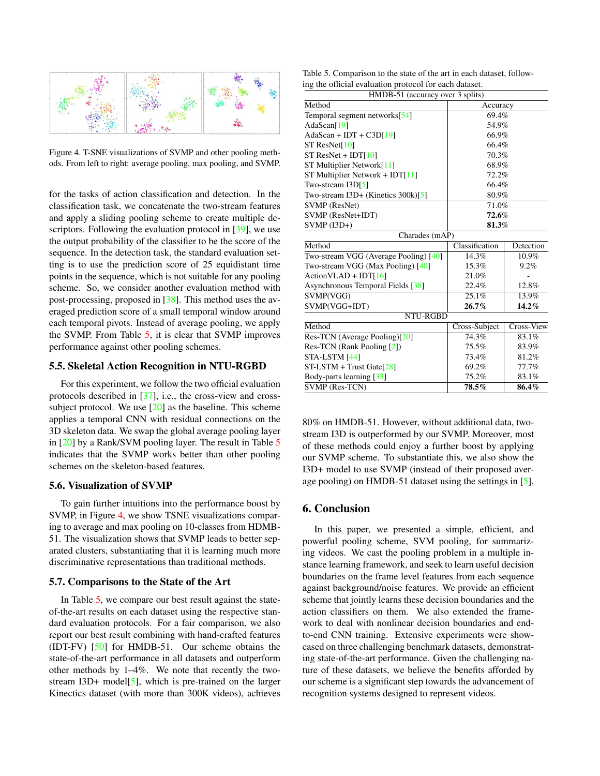<span id="page-7-2"></span>

<span id="page-7-1"></span>Figure 4. T-SNE visualizations of SVMP and other pooling methods. From left to right: average pooling, max pooling, and SVMP.

for the tasks of action classification and detection. In the classification task, we concatenate the two-stream features and apply a sliding pooling scheme to create multiple de-scriptors. Following the evaluation protocol in [\[39\]](#page-8-31), we use the output probability of the classifier to be the score of the sequence. In the detection task, the standard evaluation setting is to use the prediction score of 25 equidistant time points in the sequence, which is not suitable for any pooling scheme. So, we consider another evaluation method with post-processing, proposed in [\[38\]](#page-8-32). This method uses the averaged prediction score of a small temporal window around each temporal pivots. Instead of average pooling, we apply the SVMP. From Table [5,](#page-7-0) it is clear that SVMP improves performance against other pooling schemes.

# 5.5. Skeletal Action Recognition in NTU-RGBD

For this experiment, we follow the two official evaluation protocols described in [\[37\]](#page-8-33), i.e., the cross-view and crosssubject protocol. We use  $[20]$  as the baseline. This scheme applies a temporal CNN with residual connections on the 3D skeleton data. We swap the global average pooling layer in [\[20\]](#page-8-11) by a Rank/SVM pooling layer. The result in Table [5](#page-7-0) indicates that the SVMP works better than other pooling schemes on the skeleton-based features.

### 5.6. Visualization of SVMP

To gain further intuitions into the performance boost by SVMP, in Figure [4,](#page-7-1) we show TSNE visualizations comparing to average and max pooling on 10-classes from HDMB-51. The visualization shows that SVMP leads to better separated clusters, substantiating that it is learning much more discriminative representations than traditional methods.

### 5.7. Comparisons to the State of the Art

In Table [5,](#page-7-0) we compare our best result against the stateof-the-art results on each dataset using the respective standard evaluation protocols. For a fair comparison, we also report our best result combining with hand-crafted features (IDT-FV) [\[50\]](#page-9-20) for HMDB-51. Our scheme obtains the state-of-the-art performance in all datasets and outperform other methods by 1–4%. We note that recently the two-stream I3D+ model<sup>[\[5\]](#page-8-6)</sup>, which is pre-trained on the larger Kinectics dataset (with more than 300K videos), achieves

<span id="page-7-0"></span>Table 5. Comparison to the state of the art in each dataset, following the official evaluation protocol for each dataset.

| HMDB-51 (accuracy over 3 splits)        |                |            |  |
|-----------------------------------------|----------------|------------|--|
| Method                                  | Accuracy       |            |  |
| Temporal segment networks[54]           | 69.4%          |            |  |
| AdaScan[19]                             | 54.9%          |            |  |
| AdaScan + IDT + C3D $[19]$              | 66.9%          |            |  |
| ST ResNet[10]                           | 66.4%          |            |  |
| $ST$ ResNet + IDT[10]                   | 70.3%          |            |  |
| ST Multiplier Network[11]               | 68.9%          |            |  |
| ST Multiplier Network + IDT[11]         | 72.2%          |            |  |
| Two-stream I3D[5]                       | 66.4%          |            |  |
| Two-stream $I3D+$ (Kinetics 300k) $[5]$ | 80.9%          |            |  |
| SVMP (ResNet)                           | 71.0%          |            |  |
| SVMP (ResNet+IDT)                       | 72.6%          |            |  |
| $SVMP (I3D+)$                           | 81.3%          |            |  |
| Charades (mAP)                          |                |            |  |
| Method                                  | Classification | Detection  |  |
| Two-stream VGG (Average Pooling) [40]   | 14.3%          | 10.9%      |  |
| Two-stream VGG (Max Pooling) [40]       | 15.3%          | 9.2%       |  |
| $ActionVLAD + IDT[16]$                  | 21.0%          |            |  |
| Asynchronous Temporal Fields [38]       | 22.4%          | 12.8%      |  |
| SVMP(VGG)                               | 25.1%          | 13.9%      |  |
| SVMP(VGG+IDT)                           | 26.7%          | 14.2%      |  |
| NTU-RGBD                                |                |            |  |
| Method                                  | Cross-Subject  | Cross-View |  |
| Res-TCN (Average Pooling)[20]           | 74.3%          | 83.1%      |  |
| Res-TCN (Rank Pooling [2])              | 75.5%          | 83.9%      |  |
| STA-LSTM [44]                           | 73.4%          | 81.2%      |  |
| ST-LSTM + Trust Gate <sup>[28]</sup>    | 69.2%          | 77.7%      |  |
| Body-parts learning [33]                | 75.2%          | 83.1%      |  |
| SVMP (Res-TCN)                          | 78.5%          | 86.4%      |  |

80% on HMDB-51. However, without additional data, twostream I3D is outperformed by our SVMP. Moreover, most of these methods could enjoy a further boost by applying our SVMP scheme. To substantiate this, we also show the I3D+ model to use SVMP (instead of their proposed average pooling) on HMDB-51 dataset using the settings in [\[5\]](#page-8-6).

### 6. Conclusion

In this paper, we presented a simple, efficient, and powerful pooling scheme, SVM pooling, for summarizing videos. We cast the pooling problem in a multiple instance learning framework, and seek to learn useful decision boundaries on the frame level features from each sequence against background/noise features. We provide an efficient scheme that jointly learns these decision boundaries and the action classifiers on them. We also extended the framework to deal with nonlinear decision boundaries and endto-end CNN training. Extensive experiments were showcased on three challenging benchmark datasets, demonstrating state-of-the-art performance. Given the challenging nature of these datasets, we believe the benefits afforded by our scheme is a significant step towards the advancement of recognition systems designed to represent videos.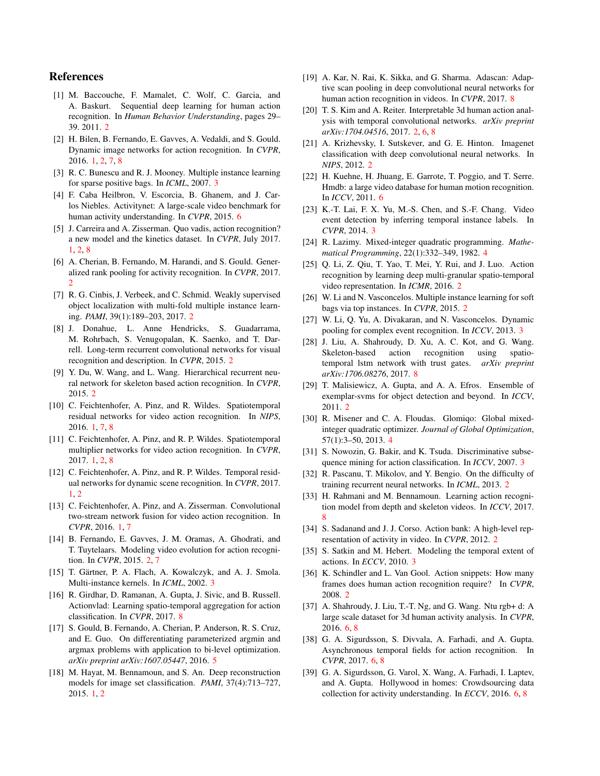# References

- <span id="page-8-12"></span>[1] M. Baccouche, F. Mamalet, C. Wolf, C. Garcia, and A. Baskurt. Sequential deep learning for human action recognition. In *Human Behavior Understanding*, pages 29– 39. 2011. [2](#page-1-0)
- <span id="page-8-0"></span>[2] H. Bilen, B. Fernando, E. Gavves, A. Vedaldi, and S. Gould. Dynamic image networks for action recognition. In *CVPR*, 2016. [1,](#page-0-1) [2,](#page-1-0) [7,](#page-6-5) [8](#page-7-2)
- <span id="page-8-26"></span>[3] R. C. Bunescu and R. J. Mooney. Multiple instance learning for sparse positive bags. In *ICML*, 2007. [3](#page-2-4)
- <span id="page-8-34"></span>[4] F. Caba Heilbron, V. Escorcia, B. Ghanem, and J. Carlos Niebles. Activitynet: A large-scale video benchmark for human activity understanding. In *CVPR*, 2015. [6](#page-5-7)
- <span id="page-8-6"></span>[5] J. Carreira and A. Zisserman. Quo vadis, action recognition? a new model and the kinetics dataset. In *CVPR*, July 2017. [1,](#page-0-1) [2,](#page-1-0) [8](#page-7-2)
- <span id="page-8-17"></span>[6] A. Cherian, B. Fernando, M. Harandi, and S. Gould. Generalized rank pooling for activity recognition. In *CVPR*, 2017. [2](#page-1-0)
- <span id="page-8-19"></span>[7] R. G. Cinbis, J. Verbeek, and C. Schmid. Weakly supervised object localization with multi-fold multiple instance learning. *PAMI*, 39(1):189–203, 2017. [2](#page-1-0)
- <span id="page-8-13"></span>[8] J. Donahue, L. Anne Hendricks, S. Guadarrama, M. Rohrbach, S. Venugopalan, K. Saenko, and T. Darrell. Long-term recurrent convolutional networks for visual recognition and description. In *CVPR*, 2015. [2](#page-1-0)
- <span id="page-8-14"></span>[9] Y. Du, W. Wang, and L. Wang. Hierarchical recurrent neural network for skeleton based action recognition. In *CVPR*, 2015. [2](#page-1-0)
- <span id="page-8-1"></span>[10] C. Feichtenhofer, A. Pinz, and R. Wildes. Spatiotemporal residual networks for video action recognition. In *NIPS*, 2016. [1,](#page-0-1) [7,](#page-6-5) [8](#page-7-2)
- <span id="page-8-2"></span>[11] C. Feichtenhofer, A. Pinz, and R. P. Wildes. Spatiotemporal multiplier networks for video action recognition. In *CVPR*, 2017. [1,](#page-0-1) [2,](#page-1-0) [8](#page-7-2)
- <span id="page-8-3"></span>[12] C. Feichtenhofer, A. Pinz, and R. P. Wildes. Temporal residual networks for dynamic scene recognition. In *CVPR*, 2017. [1,](#page-0-1) [2](#page-1-0)
- <span id="page-8-4"></span>[13] C. Feichtenhofer, A. Pinz, and A. Zisserman. Convolutional two-stream network fusion for video action recognition. In *CVPR*, 2016. [1,](#page-0-1) [7](#page-6-5)
- <span id="page-8-7"></span>[14] B. Fernando, E. Gavves, J. M. Oramas, A. Ghodrati, and T. Tuytelaars. Modeling video evolution for action recognition. In *CVPR*, 2015. [2,](#page-1-0) [7](#page-6-5)
- <span id="page-8-24"></span>[15] T. Gärtner, P. A. Flach, A. Kowalczyk, and A. J. Smola. Multi-instance kernels. In *ICML*, 2002. [3](#page-2-4)
- <span id="page-8-36"></span>[16] R. Girdhar, D. Ramanan, A. Gupta, J. Sivic, and B. Russell. Actionvlad: Learning spatio-temporal aggregation for action classification. In *CVPR*, 2017. [8](#page-7-2)
- <span id="page-8-29"></span>[17] S. Gould, B. Fernando, A. Cherian, P. Anderson, R. S. Cruz, and E. Guo. On differentiating parameterized argmin and argmax problems with application to bi-level optimization. *arXiv preprint arXiv:1607.05447*, 2016. [5](#page-4-1)
- <span id="page-8-5"></span>[18] M. Hayat, M. Bennamoun, and S. An. Deep reconstruction models for image set classification. *PAMI*, 37(4):713–727, 2015. [1,](#page-0-1) [2](#page-1-0)
- <span id="page-8-35"></span>[19] A. Kar, N. Rai, K. Sikka, and G. Sharma. Adascan: Adaptive scan pooling in deep convolutional neural networks for human action recognition in videos. In *CVPR*, 2017. [8](#page-7-2)
- <span id="page-8-11"></span>[20] T. S. Kim and A. Reiter. Interpretable 3d human action analysis with temporal convolutional networks. *arXiv preprint arXiv:1704.04516*, 2017. [2,](#page-1-0) [6,](#page-5-7) [8](#page-7-2)
- <span id="page-8-10"></span>[21] A. Krizhevsky, I. Sutskever, and G. E. Hinton. Imagenet classification with deep convolutional neural networks. In *NIPS*, 2012. [2](#page-1-0)
- <span id="page-8-30"></span>[22] H. Kuehne, H. Jhuang, E. Garrote, T. Poggio, and T. Serre. Hmdb: a large video database for human motion recognition. In *ICCV*, 2011. [6](#page-5-7)
- <span id="page-8-25"></span>[23] K.-T. Lai, F. X. Yu, M.-S. Chen, and S.-F. Chang. Video event detection by inferring temporal instance labels. In *CVPR*, 2014. [3](#page-2-4)
- <span id="page-8-27"></span>[24] R. Lazimy. Mixed-integer quadratic programming. *Mathematical Programming*, 22(1):332–349, 1982. [4](#page-3-3)
- <span id="page-8-15"></span>[25] Q. Li, Z. Qiu, T. Yao, T. Mei, Y. Rui, and J. Luo. Action recognition by learning deep multi-granular spatio-temporal video representation. In *ICMR*, 2016. [2](#page-1-0)
- <span id="page-8-20"></span>[26] W. Li and N. Vasconcelos. Multiple instance learning for soft bags via top instances. In *CVPR*, 2015. [2](#page-1-0)
- <span id="page-8-23"></span>[27] W. Li, Q. Yu, A. Divakaran, and N. Vasconcelos. Dynamic pooling for complex event recognition. In *ICCV*, 2013. [3](#page-2-4)
- <span id="page-8-37"></span>[28] J. Liu, A. Shahroudy, D. Xu, A. C. Kot, and G. Wang. Skeleton-based action recognition using spatiotemporal lstm network with trust gates. *arXiv preprint arXiv:1706.08276*, 2017. [8](#page-7-2)
- <span id="page-8-18"></span>[29] T. Malisiewicz, A. Gupta, and A. A. Efros. Ensemble of exemplar-svms for object detection and beyond. In *ICCV*, 2011. [2](#page-1-0)
- <span id="page-8-28"></span>[30] R. Misener and C. A. Floudas. Glomiqo: Global mixedinteger quadratic optimizer. *Journal of Global Optimization*, 57(1):3–50, 2013. [4](#page-3-3)
- <span id="page-8-22"></span>[31] S. Nowozin, G. Bakir, and K. Tsuda. Discriminative subsequence mining for action classification. In *ICCV*, 2007. [3](#page-2-4)
- <span id="page-8-16"></span>[32] R. Pascanu, T. Mikolov, and Y. Bengio. On the difficulty of training recurrent neural networks. In *ICML*, 2013. [2](#page-1-0)
- <span id="page-8-38"></span>[33] H. Rahmani and M. Bennamoun. Learning action recognition model from depth and skeleton videos. In *ICCV*, 2017. [8](#page-7-2)
- <span id="page-8-9"></span>[34] S. Sadanand and J. J. Corso. Action bank: A high-level representation of activity in video. In *CVPR*, 2012. [2](#page-1-0)
- <span id="page-8-21"></span>[35] S. Satkin and M. Hebert. Modeling the temporal extent of actions. In *ECCV*, 2010. [3](#page-2-4)
- <span id="page-8-8"></span>[36] K. Schindler and L. Van Gool. Action snippets: How many frames does human action recognition require? In *CVPR*, 2008. [2](#page-1-0)
- <span id="page-8-33"></span>[37] A. Shahroudy, J. Liu, T.-T. Ng, and G. Wang. Ntu rgb+ d: A large scale dataset for 3d human activity analysis. In *CVPR*, 2016. [6,](#page-5-7) [8](#page-7-2)
- <span id="page-8-32"></span>[38] G. A. Sigurdsson, S. Divvala, A. Farhadi, and A. Gupta. Asynchronous temporal fields for action recognition. In *CVPR*, 2017. [6,](#page-5-7) [8](#page-7-2)
- <span id="page-8-31"></span>[39] G. A. Sigurdsson, G. Varol, X. Wang, A. Farhadi, I. Laptev, and A. Gupta. Hollywood in homes: Crowdsourcing data collection for activity understanding. In *ECCV*, 2016. [6,](#page-5-7) [8](#page-7-2)